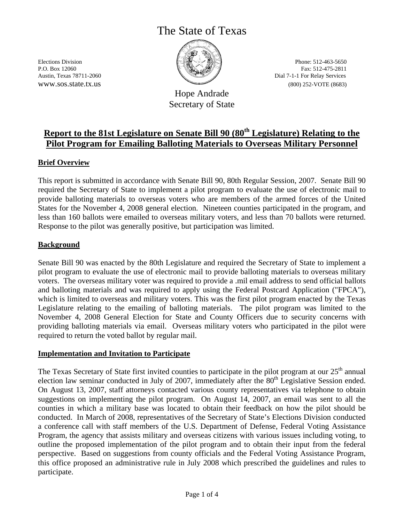# The State of Texas



Elections Division P.O. Box 12060 Austin, Texas 78711-2060 www.sos.state.tx.us

Hope Andrade Secretary of State

Phone: 512-463-5650 Fax: 512-475-2811 Dial 7-1-1 For Relay Services (800) 252-VOTE (8683)

# **Report to the 81st Legislature on Senate Bill 90 (80th Legislature) Relating to the Pilot Program for Emailing Balloting Materials to Overseas Military Personnel**

# **Brief Overview**

This report is submitted in accordance with Senate Bill 90, 80th Regular Session, 2007. Senate Bill 90 required the Secretary of State to implement a pilot program to evaluate the use of electronic mail to provide balloting materials to overseas voters who are members of the armed forces of the United States for the November 4, 2008 general election. Nineteen counties participated in the program, and less than 160 ballots were emailed to overseas military voters, and less than 70 ballots were returned. Response to the pilot was generally positive, but participation was limited.

#### **Background**

Senate Bill 90 was enacted by the 80th Legislature and required the Secretary of State to implement a pilot program to evaluate the use of electronic mail to provide balloting materials to overseas military voters. The overseas military voter was required to provide a .mil email address to send official ballots and balloting materials and was required to apply using the Federal Postcard Application ("FPCA"), which is limited to overseas and military voters. This was the first pilot program enacted by the Texas Legislature relating to the emailing of balloting materials. The pilot program was limited to the November 4, 2008 General Election for State and County Officers due to security concerns with providing balloting materials via email. Overseas military voters who participated in the pilot were required to return the voted ballot by regular mail.

#### **Implementation and Invitation to Participate**

The Texas Secretary of State first invited counties to participate in the pilot program at our  $25<sup>th</sup>$  annual election law seminar conducted in July of 2007, immediately after the  $80<sup>th</sup>$  Legislative Session ended. On August 13, 2007, staff attorneys contacted various county representatives via telephone to obtain suggestions on implementing the pilot program. On August 14, 2007, an email was sent to all the counties in which a military base was located to obtain their feedback on how the pilot should be conducted. In March of 2008, representatives of the Secretary of State's Elections Division conducted a conference call with staff members of the U.S. Department of Defense, Federal Voting Assistance Program, the agency that assists military and overseas citizens with various issues including voting, to outline the proposed implementation of the pilot program and to obtain their input from the federal perspective. Based on suggestions from county officials and the Federal Voting Assistance Program, this office proposed an administrative rule in July 2008 which prescribed the guidelines and rules to participate.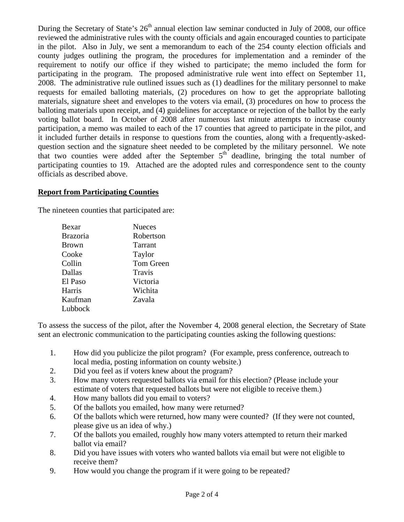During the Secretary of State's  $26<sup>th</sup>$  annual election law seminar conducted in July of 2008, our office reviewed the administrative rules with the county officials and again encouraged counties to participate in the pilot. Also in July, we sent a memorandum to each of the 254 county election officials and county judges outlining the program, the procedures for implementation and a reminder of the requirement to notify our office if they wished to participate; the memo included the form for participating in the program. The proposed administrative rule went into effect on September 11, 2008. The administrative rule outlined issues such as (1) deadlines for the military personnel to make requests for emailed balloting materials, (2) procedures on how to get the appropriate balloting materials, signature sheet and envelopes to the voters via email, (3) procedures on how to process the balloting materials upon receipt, and (4) guidelines for acceptance or rejection of the ballot by the early voting ballot board. In October of 2008 after numerous last minute attempts to increase county participation, a memo was mailed to each of the 17 counties that agreed to participate in the pilot, and it included further details in response to questions from the counties, along with a frequently-askedquestion section and the signature sheet needed to be completed by the military personnel. We note that two counties were added after the September  $5<sup>th</sup>$  deadline, bringing the total number of participating counties to 19. Attached are the adopted rules and correspondence sent to the county officials as described above.

# **Report from Participating Counties**

The nineteen counties that participated are:

| Bexar           | <b>Nueces</b> |
|-----------------|---------------|
| <b>Brazoria</b> | Robertson     |
| <b>Brown</b>    | Tarrant       |
| Cooke           | Taylor        |
| Collin          | Tom Green     |
| Dallas          | Travis        |
| El Paso         | Victoria      |
| Harris          | Wichita       |
| Kaufman         | Zavala        |
| Lubbock         |               |

To assess the success of the pilot, after the November 4, 2008 general election, the Secretary of State sent an electronic communication to the participating counties asking the following questions:

- 1. How did you publicize the pilot program? (For example, press conference, outreach to local media, posting information on county website.)
- 2. Did you feel as if voters knew about the program?
- 3. How many voters requested ballots via email for this election? (Please include your estimate of voters that requested ballots but were not eligible to receive them.)
- 4. How many ballots did you email to voters?
- 5. Of the ballots you emailed, how many were returned?
- 6. Of the ballots which were returned, how many were counted? (If they were not counted, please give us an idea of why.)
- 7. Of the ballots you emailed, roughly how many voters attempted to return their marked ballot via email?
- 8. Did you have issues with voters who wanted ballots via email but were not eligible to receive them?
- 9. How would you change the program if it were going to be repeated?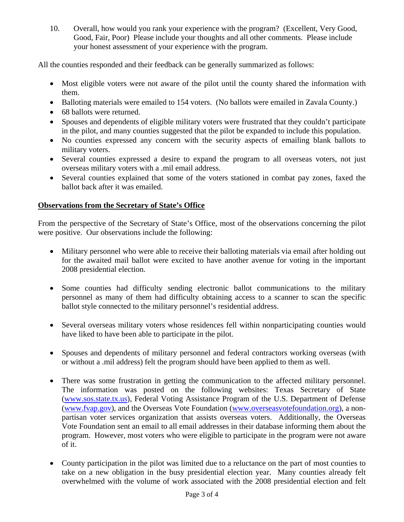10. Overall, how would you rank your experience with the program? (Excellent, Very Good, Good, Fair, Poor) Please include your thoughts and all other comments. Please include your honest assessment of your experience with the program.

All the counties responded and their feedback can be generally summarized as follows:

- Most eligible voters were not aware of the pilot until the county shared the information with them.
- Balloting materials were emailed to 154 voters. (No ballots were emailed in Zavala County.)
- 68 ballots were returned.
- Spouses and dependents of eligible military voters were frustrated that they couldn't participate in the pilot, and many counties suggested that the pilot be expanded to include this population.
- No counties expressed any concern with the security aspects of emailing blank ballots to military voters.
- Several counties expressed a desire to expand the program to all overseas voters, not just overseas military voters with a .mil email address.
- Several counties explained that some of the voters stationed in combat pay zones, faxed the ballot back after it was emailed.

# **Observations from the Secretary of State's Office**

From the perspective of the Secretary of State's Office, most of the observations concerning the pilot were positive. Our observations include the following:

- Military personnel who were able to receive their balloting materials via email after holding out for the awaited mail ballot were excited to have another avenue for voting in the important 2008 presidential election.
- Some counties had difficulty sending electronic ballot communications to the military personnel as many of them had difficulty obtaining access to a scanner to scan the specific ballot style connected to the military personnel's residential address.
- Several overseas military voters whose residences fell within nonparticipating counties would have liked to have been able to participate in the pilot.
- Spouses and dependents of military personnel and federal contractors working overseas (with or without a .mil address) felt the program should have been applied to them as well.
- There was some frustration in getting the communication to the affected military personnel. The information was posted on the following websites: Texas Secretary of State (www.sos.state.tx.us), Federal Voting Assistance Program of the U.S. Department of Defense (www.fvap.gov), and the Overseas Vote Foundation (www.overseasvotefoundation.org), a nonpartisan voter services organization that assists overseas voters. Additionally, the Overseas Vote Foundation sent an email to all email addresses in their database informing them about the program. However, most voters who were eligible to participate in the program were not aware of it.
- County participation in the pilot was limited due to a reluctance on the part of most counties to take on a new obligation in the busy presidential election year. Many counties already felt overwhelmed with the volume of work associated with the 2008 presidential election and felt